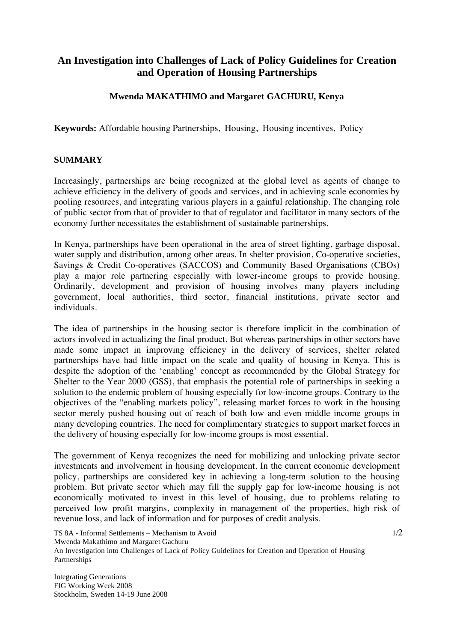## **An Investigation into Challenges of Lack of Policy Guidelines for Creation and Operation of Housing Partnerships**

## **Mwenda MAKATHIMO and Margaret GACHURU, Kenya**

**Keywords:** Affordable housing Partnerships, Housing, Housing incentives, Policy

## **SUMMARY**

Increasingly, partnerships are being recognized at the global level as agents of change to achieve efficiency in the delivery of goods and services, and in achieving scale economies by pooling resources, and integrating various players in a gainful relationship. The changing role of public sector from that of provider to that of regulator and facilitator in many sectors of the economy further necessitates the establishment of sustainable partnerships.

In Kenya, partnerships have been operational in the area of street lighting, garbage disposal, water supply and distribution, among other areas. In shelter provision, Co-operative societies, Savings & Credit Co-operatives (SACCOS) and Community Based Organisations (CBOs) play a major role partnering especially with lower-income groups to provide housing. Ordinarily, development and provision of housing involves many players including government, local authorities, third sector, financial institutions, private sector and individuals.

The idea of partnerships in the housing sector is therefore implicit in the combination of actors involved in actualizing the final product. But whereas partnerships in other sectors have made some impact in improving efficiency in the delivery of services, shelter related partnerships have had little impact on the scale and quality of housing in Kenya. This is despite the adoption of the 'enabling' concept as recommended by the Global Strategy for Shelter to the Year 2000 (GSS), that emphasis the potential role of partnerships in seeking a solution to the endemic problem of housing especially for low-income groups. Contrary to the objectives of the "enabling markets policy", releasing market forces to work in the housing sector merely pushed housing out of reach of both low and even middle income groups in many developing countries. The need for complimentary strategies to support market forces in the delivery of housing especially for low-income groups is most essential.

The government of Kenya recognizes the need for mobilizing and unlocking private sector investments and involvement in housing development. In the current economic development policy, partnerships are considered key in achieving a long-term solution to the housing problem. But private sector which may fill the supply gap for low-income housing is not economically motivated to invest in this level of housing, due to problems relating to perceived low profit margins, complexity in management of the properties, high risk of revenue loss, and lack of information and for purposes of credit analysis.

An Investigation into Challenges of Lack of Policy Guidelines for Creation and Operation of Housing Partnerships

Integrating Generations FIG Working Week 2008 Stockholm, Sweden 14-19 June 2008